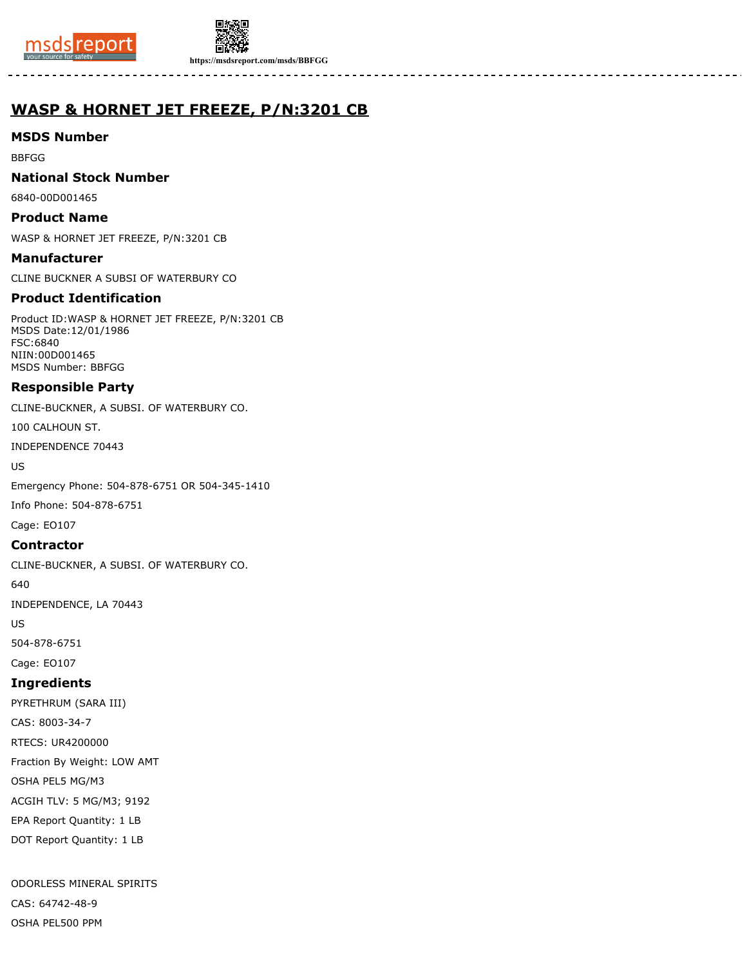



**https://msdsreport.com/msds/BBFGG**

# **WASP & HORNET JET FREEZE, P/N:3201 CB**

# **MSDS Number**

BBFGG

# **National Stock Number**

6840-00D001465

# **Product Name**

WASP & HORNET JET FREEZE, P/N:3201 CB

### **Manufacturer**

CLINE BUCKNER A SUBSI OF WATERBURY CO

# **Product Identification**

Product ID:WASP & HORNET JET FREEZE, P/N:3201 CB MSDS Date:12/01/1986 FSC:6840 NIIN:00D001465 MSDS Number: BBFGG

# **Responsible Party**

CLINE-BUCKNER, A SUBSI. OF WATERBURY CO.

100 CALHOUN ST.

INDEPENDENCE 70443

US

Emergency Phone: 504-878-6751 OR 504-345-1410

Info Phone: 504-878-6751

Cage: EO107

# **Contractor**

CLINE-BUCKNER, A SUBSI. OF WATERBURY CO.

640

INDEPENDENCE, LA 70443

US

504-878-6751

Cage: EO107

# **Ingredients**

PYRETHRUM (SARA III) CAS: 8003-34-7 RTECS: UR4200000 Fraction By Weight: LOW AMT OSHA PEL5 MG/M3 ACGIH TLV: 5 MG/M3; 9192 EPA Report Quantity: 1 LB DOT Report Quantity: 1 LB

ODORLESS MINERAL SPIRITS CAS: 64742-48-9 OSHA PEL500 PPM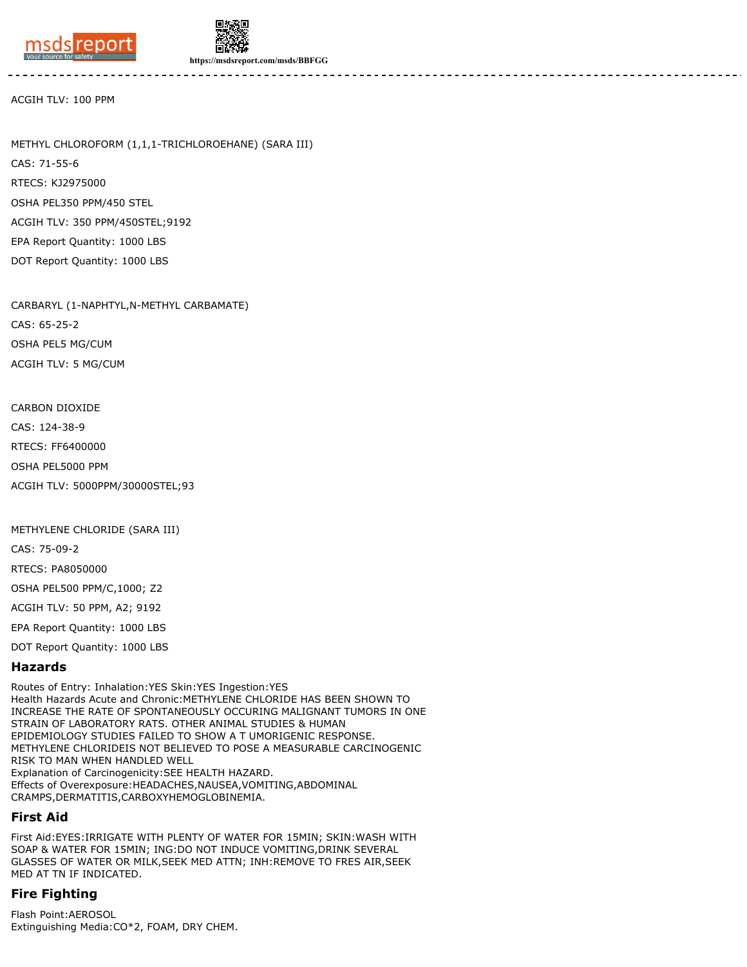

DOT Report Quantity: 1000 LBS



**https://msdsreport.com/msds/BBFGG**

ACGIH TLV: 100 PPM

METHYL CHLOROFORM (1,1,1-TRICHLOROEHANE) (SARA III) CAS: 71-55-6 RTECS: KJ2975000 OSHA PEL350 PPM/450 STEL ACGIH TLV: 350 PPM/450STEL;9192 EPA Report Quantity: 1000 LBS

CARBARYL (1-NAPHTYL,N-METHYL CARBAMATE) CAS: 65-25-2 OSHA PEL5 MG/CUM ACGIH TLV: 5 MG/CUM

CARBON DIOXIDE

CAS: 124-38-9

RTECS: FF6400000

OSHA PEL5000 PPM

ACGIH TLV: 5000PPM/30000STEL;93

METHYLENE CHLORIDE (SARA III)

CAS: 75-09-2

RTECS: PA8050000

OSHA PEL500 PPM/C,1000; Z2

ACGIH TLV: 50 PPM, A2; 9192

EPA Report Quantity: 1000 LBS

DOT Report Quantity: 1000 LBS

#### **Hazards**

Routes of Entry: Inhalation:YES Skin:YES Ingestion:YES Health Hazards Acute and Chronic:METHYLENE CHLORIDE HAS BEEN SHOWN TO INCREASE THE RATE OF SPONTANEOUSLY OCCURING MALIGNANT TUMORS IN ONE STRAIN OF LABORATORY RATS. OTHER ANIMAL STUDIES & HUMAN EPIDEMIOLOGY STUDIES FAILED TO SHOW A T UMORIGENIC RESPONSE. METHYLENE CHLORIDEIS NOT BELIEVED TO POSE A MEASURABLE CARCINOGENIC RISK TO MAN WHEN HANDLED WELL Explanation of Carcinogenicity:SEE HEALTH HAZARD. Effects of Overexposure:HEADACHES,NAUSEA,VOMITING,ABDOMINAL CRAMPS,DERMATITIS,CARBOXYHEMOGLOBINEMIA.

#### **First Aid**

First Aid:EYES:IRRIGATE WITH PLENTY OF WATER FOR 15MIN; SKIN:WASH WITH SOAP & WATER FOR 15MIN; ING:DO NOT INDUCE VOMITING,DRINK SEVERAL GLASSES OF WATER OR MILK,SEEK MED ATTN; INH:REMOVE TO FRES AIR,SEEK MED AT TN IF INDICATED.

### **Fire Fighting**

Flash Point:AEROSOL Extinguishing Media:CO\*2, FOAM, DRY CHEM.